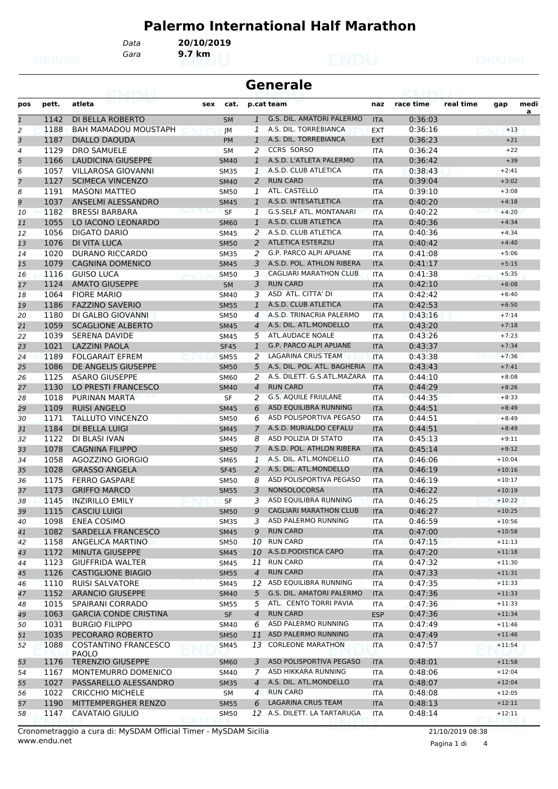## **Palermo International Half Marathon**

*Gara* **9.7 km**

*Data* **20/10/2019**

| <b>Generale</b> |       |                                             |     |             |                |                                  |            |           |           |          |           |
|-----------------|-------|---------------------------------------------|-----|-------------|----------------|----------------------------------|------------|-----------|-----------|----------|-----------|
| pos             | pett. | atleta                                      | sex | cat.        |                | p.cat team                       | naz        | race time | real time | gap      | medi<br>a |
| 1               | 1142  | DI BELLA ROBERTO                            |     | <b>SM</b>   | $\mathbf{1}$   | <b>G.S. DIL. AMATORI PALERMO</b> | <b>ITA</b> | 0:36:03   |           |          |           |
| 2               | 1188  | <b>BAH MAMADOU MOUSTAPH</b>                 |     | JM          | 1              | A.S. DIL. TORREBIANCA            | <b>EXT</b> | 0:36:16   |           | $+13$    |           |
| 3               | 1187  | <b>DIALLO DAOUDA</b>                        |     | <b>PM</b>   | $\mathbf{1}$   | A.S. DIL. TORREBIANCA            | <b>EXT</b> | 0:36:23   |           | $+21$    |           |
| 4               | 1129  | <b>DRO SAMUELE</b>                          |     | <b>SM</b>   | 2              | <b>CCRS SORSO</b>                | <b>ITA</b> | 0:36:24   |           | $+22$    |           |
| 5               | 1166  | <b>LAUDICINA GIUSEPPE</b>                   |     | <b>SM40</b> | $\mathbf{1}$   | A.S.D. L'ATLETA PALERMO          | <b>ITA</b> | 0:36:42   |           | $+39$    |           |
| 6               | 1057  | <b>VILLAROSA GIOVANNI</b>                   |     | <b>SM35</b> | $\mathbf{1}$   | A.S.D. CLUB ATLETICA             | <b>ITA</b> | 0:38:43   |           | $+2:41$  |           |
| 7               | 1127  | <b>SCIMECA VINCENZO</b>                     |     | <b>SM40</b> | 2              | <b>RUN CARD</b>                  | <b>ITA</b> | 0:39:04   |           | $+3:02$  |           |
| 8               | 1191  | <b>MASONI MATTEO</b>                        |     | <b>SM50</b> | 1              | ATL. CASTELLO                    | <b>ITA</b> | 0:39:10   |           | $+3:08$  |           |
| 9               | 1037  | ANSELMI ALESSANDRO                          |     | <b>SM45</b> | $\mathbf{1}$   | A.S.D. INTESATLETICA             | <b>ITA</b> | 0:40:20   |           | $+4:18$  |           |
| 10              | 1182  | <b>BRESSI BARBARA</b>                       |     | <b>SF</b>   | 1              | <b>G.S.SELF ATL. MONTANARI</b>   | <b>ITA</b> | 0:40:22   |           | $+4:20$  |           |
| 11              | 1055  | LO IACONO LEONARDO                          |     | <b>SM60</b> | 1              | A.S.D. CLUB ATLETICA             | <b>ITA</b> | 0:40:36   |           | $+4:34$  |           |
| 12              | 1056  | DIGATO DARIO                                |     | <b>SM45</b> | 2              | A.S.D. CLUB ATLETICA             | <b>ITA</b> | 0:40:36   |           | $+4:34$  |           |
| 13              | 1076  | DI VITA LUCA                                |     | <b>SM50</b> | 2              | <b>ATLETICA ESTERZILI</b>        | <b>ITA</b> | 0:40:42   |           | $+4:40$  |           |
| 14              | 1020  | DURANO RICCARDO                             |     | <b>SM35</b> | 2              | G.P. PARCO ALPI APUANE           | ITA        | 0:41:08   |           | $+5:06$  |           |
| 15              | 1079  | <b>CAGNINA DOMENICO</b>                     |     | <b>SM45</b> | 3              | A.S.D. POL. ATHLON RIBERA        | <b>ITA</b> | 0:41:17   |           | $+5:15$  |           |
| 16              | 1116  | <b>GUISO LUCA</b>                           |     | <b>SM50</b> | 3              | <b>CAGLIARI MARATHON CLUB</b>    | <b>ITA</b> | 0:41:38   |           | $+5:35$  |           |
| 17              | 1124  | <b>AMATO GIUSEPPE</b>                       |     | <b>SM</b>   | 3              | <b>RUN CARD</b>                  | <b>ITA</b> | 0:42:10   |           | $+6:08$  |           |
| 18              | 1064  | <b>FIORE MARIO</b>                          |     | <b>SM40</b> | 3              | ASD ATL. CITTA' DI               | <b>ITA</b> | 0:42:42   |           | $+6:40$  |           |
| 19              | 1186  | <b>FAZZINO SAVERIO</b>                      |     | <b>SM55</b> | $\mathbf{1}$   | A.S.D. CLUB ATLETICA             | <b>ITA</b> | 0:42:53   |           | $+6:50$  |           |
| 20              | 1180  | DI GALBO GIOVANNI                           |     | <b>SM50</b> | $\overline{4}$ | A.S.D. TRINACRIA PALERMO         | <b>ITA</b> | 0:43:16   |           | $+7:14$  |           |
| 21              | 1059  | <b>SCAGLIONE ALBERTO</b>                    |     | <b>SM45</b> | $\overline{4}$ | A.S. DIL. ATL.MONDELLO           | <b>ITA</b> | 0:43:20   |           | $+7:18$  |           |
| 22              | 1039  | <b>SERENA DAVIDE</b>                        |     | <b>SM45</b> | 5              | ATL.AUDACE NOALE                 | <b>ITA</b> | 0:43:26   |           | $+7:23$  |           |
| 23              | 1021  | <b>LAZZINI PAOLA</b>                        |     | <b>SF45</b> | 1              | <b>G.P. PARCO ALPI APUANE</b>    | <b>ITA</b> | 0:43:37   |           | $+7:34$  |           |
| 24              | 1189  | <b>FOLGARAIT EFREM</b>                      |     | <b>SM55</b> | 2              | LAGARINA CRUS TEAM               | <b>ITA</b> | 0:43:38   |           | $+7:36$  |           |
| 25              | 1086  | DE ANGELIS GIUSEPPE                         |     | <b>SM50</b> | 5              | A.S. DIL. POL. ATL. BAGHERIA     | <b>ITA</b> | 0:43:43   |           | $+7:41$  |           |
| 26              | 1125  | <b>ASARO GIUSEPPE</b>                       |     | <b>SM60</b> | 2              | A.S. DILETT. G.S.ATL.MAZARA      | <b>ITA</b> | 0:44:10   |           | $+8:08$  |           |
| 27              | 1130  | LO PRESTI FRANCESCO                         |     | <b>SM40</b> | $\overline{4}$ | <b>RUN CARD</b>                  | <b>ITA</b> | 0:44:29   |           | $+8:26$  |           |
| 28              | 1018  | PURINAN MARTA                               |     | <b>SF</b>   | 2              | <b>G.S. AQUILE FRIULANE</b>      | <b>ITA</b> | 0:44:35   |           | $+8:33$  |           |
| 29              | 1109  | <b>RUISI ANGELO</b>                         |     | <b>SM45</b> | 6              | ASD EQUILIBRA RUNNING            | <b>ITA</b> | 0:44:51   |           | $+8:49$  |           |
| 30              | 1171  | TALLUTO VINCENZO                            |     | <b>SM50</b> | 6              | ASD POLISPORTIVA PEGASO          | <b>ITA</b> | 0:44:51   |           | $+8:49$  |           |
|                 | 1184  | DI BELLA LUIGI                              |     | <b>SM45</b> | $\mathcal{I}$  | A.S.D. MURIALDO CEFALU           | <b>ITA</b> | 0:44:51   |           | $+8:49$  |           |
| 31              | 1122  | <b>DI BLASI IVAN</b>                        |     |             | 8              | ASD POLIZIA DI STATO             |            |           |           | $+9:11$  |           |
| 32              | 1078  |                                             |     | SM45        |                | A.S.D. POL. ATHLON RIBERA        | ITA        | 0:45:13   |           |          |           |
| 33              |       | <b>CAGNINA FILIPPO</b>                      |     | <b>SM50</b> | $\overline{7}$ | A.S. DIL. ATL.MONDELLO           | <b>ITA</b> | 0:45:14   |           | $+9:12$  |           |
| 34              | 1058  | AGOZZINO GIORGIO                            |     | <b>SM65</b> | $\mathbf{1}$   | A.S. DIL. ATL.MONDELLO           | <b>ITA</b> | 0:46:06   |           | $+10:04$ |           |
| 35              | 1028  | <b>GRASSO ANGELA</b>                        |     | <b>SF45</b> | 2              | ASD POLISPORTIVA PEGASO          | <b>ITA</b> | 0:46:19   |           | $+10:16$ |           |
| 36              | 1175  | <b>FERRO GASPARE</b>                        |     | <b>SM50</b> | 8              |                                  | <b>ITA</b> | 0:46:19   |           | $+10:17$ |           |
| 37              | 1173  | <b>GRIFFO MARCO</b>                         |     | <b>SM55</b> | 3              | <b>NONSOLOCORSA</b>              | <b>ITA</b> | 0:46:22   |           | $+10:19$ |           |
| 38              | 1145  | <b>INZIRILLO EMILY</b>                      |     | SF          |                | ASD EQUILIBRA RUNNING            | ITA        | 0:46:25   |           | $+10:22$ |           |
| 39              | 1115  | <b>CASCIU LUIGI</b>                         |     | <b>SM50</b> | 9              | <b>CAGLIARI MARATHON CLUB</b>    | <b>ITA</b> | 0:46:27   |           | $+10:25$ |           |
| 40              | 1098  | <b>ENEA COSIMO</b>                          |     | <b>SM35</b> | 3              | ASD PALERMO RUNNING              | ITA        | 0:46:59   |           | $+10:56$ |           |
| 41              | 1082  | SARDELLA FRANCESCO                          |     | <b>SM45</b> | 9              | <b>RUN CARD</b>                  | <b>ITA</b> | 0:47:00   |           | $+10:58$ |           |
| 42              | 1158  | ANGELICA MARTINO                            |     | <b>SM50</b> |                | 10 RUN CARD                      | ITA        | 0:47:15   |           | $+11:13$ |           |
| 43              | 1172  | MINUTA GIUSEPPE                             |     | <b>SM45</b> |                | 10 A.S.D. PODISTICA CAPO         | <b>ITA</b> | 0:47:20   |           | $+11:18$ |           |
| 44              | 1123  | <b>GIUFFRIDA WALTER</b>                     |     | <b>SM45</b> | 11             | <b>RUN CARD</b>                  | ITA        | 0:47:32   |           | $+11:30$ |           |
| 45              | 1126  | <b>CASTIGLIONE BIAGIO</b>                   |     | <b>SM55</b> | $\overline{4}$ | <b>RUN CARD</b>                  | <b>ITA</b> | 0:47:33   |           | $+11:31$ |           |
| 46              | 1110  | <b>RUISI SALVATORE</b>                      |     | <b>SM45</b> |                | 12 ASD EQUILIBRA RUNNING         | <b>ITA</b> | 0:47:35   |           | $+11:33$ |           |
| 47              | 1152  | <b>ARANCIO GIUSEPPE</b>                     |     | <b>SM40</b> | 5              | G.S. DIL. AMATORI PALERMO        | <b>ITA</b> | 0:47:36   |           | $+11:33$ |           |
| 48              | 1015  | SPAIRANI CORRADO                            |     | <b>SM55</b> | 5              | ATL. CENTO TORRI PAVIA           | ITA        | 0:47:36   |           | $+11:33$ |           |
| 49              | 1063  | <b>GARCIA CONDE CRISTINA</b>                |     | <b>SF</b>   | $\overline{4}$ | <b>RUN CARD</b>                  | <b>ESP</b> | 0:47:36   |           | $+11:34$ |           |
| 50              | 1031  | <b>BURGIO FILIPPO</b>                       |     | SM40        | 6              | ASD PALERMO RUNNING              | ITA        | 0:47:49   |           | $+11:46$ |           |
| 51              | 1035  | PECORARO ROBERTO                            |     | <b>SM50</b> |                | 11 ASD PALERMO RUNNING           | <b>ITA</b> | 0:47:49   |           | $+11:46$ |           |
| 52              | 1088  | <b>COSTANTINO FRANCESCO</b><br><b>PAOLO</b> |     | <b>SM45</b> |                | 13 CORLEONE MARATHON             | ITA        | 0:47:57   |           | $+11:54$ |           |
| 53              | 1176  | <b>TERENZIO GIUSEPPE</b>                    |     | <b>SM60</b> | 3              | ASD POLISPORTIVA PEGASO          | <b>ITA</b> | 0:48:01   |           | $+11:58$ |           |
| 54              | 1167  | MONTEMURRO DOMENICO                         |     | SM40        | 7              | ASD HIKKARA RUNNING              | ITA        | 0:48:06   |           | $+12:04$ |           |
| 55              | 1027  | PASSARELLO ALESSANDRO                       |     | <b>SM35</b> | $\overline{4}$ | A.S. DIL. ATL.MONDELLO           | <b>ITA</b> | 0:48:07   |           | $+12:04$ |           |
| 56              | 1022  | <b>CRICCHIO MICHELE</b>                     |     | SM          | $\overline{4}$ | <b>RUN CARD</b>                  | ITA        | 0:48:08   |           | $+12:05$ |           |
| 57              | 1190  | MITTEMPERGHER RENZO                         |     | <b>SM55</b> | 6              | LAGARINA CRUS TEAM               | <b>ITA</b> | 0:48:13   |           | $+12:11$ |           |
| 58              | 1147  | <b>CAVATAIO GIULIO</b>                      |     | <b>SM50</b> |                | 12 A.S. DILETT. LA TARTARUGA     | ITA        | 0:48:14   |           | $+12:11$ |           |

Pagina 1 di 4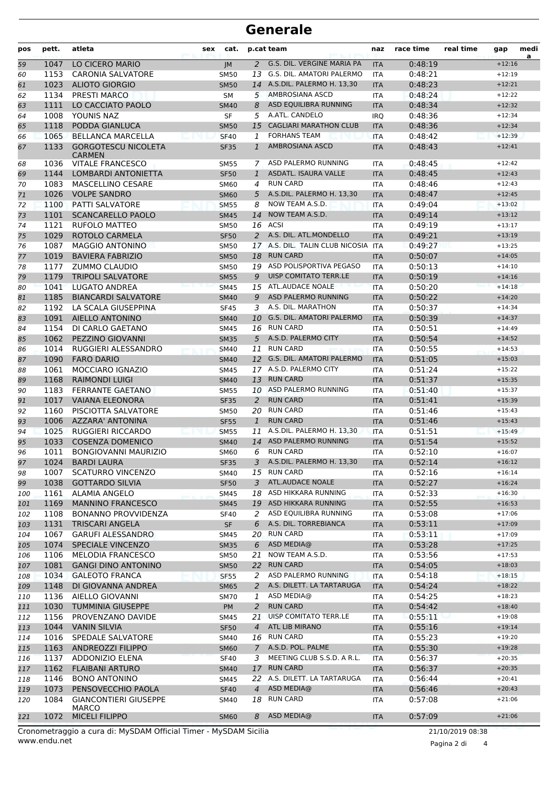## **Generale**

| pos        | pett.        | atleta                                      | sex | cat.                       |                | p.cat team                                        | naz                      | race time          | real time | gap                  | medi<br>a |
|------------|--------------|---------------------------------------------|-----|----------------------------|----------------|---------------------------------------------------|--------------------------|--------------------|-----------|----------------------|-----------|
| 59         | 1047         | LO CICERO MARIO                             |     | IM                         | 2              | G.S. DIL. VERGINE MARIA PA                        | <b>ITA</b>               | 0:48:19            |           | $+12:16$             |           |
| 60         | 1153         | <b>CARONIA SALVATORE</b>                    |     | <b>SM50</b>                | 13             | <b>G.S. DIL. AMATORI PALERMO</b>                  | <b>ITA</b>               | 0:48:21            |           | $+12:19$             |           |
| 61         | 1023         | <b>ALIOTO GIORGIO</b>                       |     | <b>SM50</b>                |                | 14 A.S.DIL. PALERMO H. 13,30                      | <b>ITA</b>               | 0:48:23            | $+12:21$  |                      |           |
| 62         | 1134         | <b>PRESTI MARCO</b>                         |     | <b>SM</b>                  |                | 5 AMBROSIANA ASCD<br><b>ITA</b>                   |                          | 0:48:24            |           | $+12:22$             |           |
| 63         | 1111         | LO CACCIATO PAOLO                           |     | <b>SM40</b>                | 8              | ASD EQUILIBRA RUNNING                             | <b>ITA</b>               | 0:48:34            |           | $+12:32$             |           |
| 64         | 1008         | YOUNIS NAZ                                  |     | <b>SF</b>                  | 5              | A.ATL. CANDELO                                    | <b>IRQ</b>               | 0:48:36            |           | $+12:34$             |           |
| 65         | 1118         | PODDA GIANLUCA                              |     | <b>SM50</b>                | 15             | <b>CAGLIARI MARATHON CLUB</b>                     | <b>ITA</b>               | 0:48:36            |           | $+12:34$             |           |
| 66         | 1065         | <b>BELLANCA MARCELLA</b>                    |     | <b>SF40</b>                | 1              | <b>FORHANS TEAM</b>                               | <b>ITA</b>               | 0:48:42            |           | $+12:39$             |           |
| 67         | 1133         | <b>GORGOTESCU NICOLETA</b><br><b>CARMEN</b> |     | <b>SF35</b>                | $\mathbf{1}$   | <b>AMBROSIANA ASCD</b>                            | <b>ITA</b>               | 0:48:43            |           | $+12:41$             |           |
| 68         | 1036         | <b>VITALE FRANCESCO</b>                     |     | <b>SM55</b>                | 7              | ASD PALERMO RUNNING                               | <b>ITA</b>               | 0:48:45            |           | $+12:42$             |           |
| 69         | 1144         | LOMBARDI ANTONIETTA                         |     | <b>SF50</b>                | 1              | ASDATL. ISAURA VALLE                              | <b>ITA</b>               | 0:48:45            |           | $+12:43$             |           |
| 70         | 1083         | <b>MASCELLINO CESARE</b>                    |     | <b>SM60</b>                | 4              | <b>RUN CARD</b>                                   | <b>ITA</b>               | 0:48:46            |           | $+12:43$             |           |
| 71         | 1026         | <b>VOLPE SANDRO</b>                         |     | <b>SM60</b>                | 5              | A.S.DIL. PALERMO H. 13,30                         | <b>ITA</b>               | 0:48:47            |           | $+12:45$             |           |
| 72         | 1100         | <b>PATTI SALVATORE</b>                      |     | <b>SM55</b>                | 8              | NOW TEAM A.S.D.                                   | <b>ITA</b>               | 0:49:04            |           | $+13:02$             |           |
| 73         | 1101         | <b>SCANCARELLO PAOLO</b>                    |     | <b>SM45</b>                |                | 14 NOW TEAM A.S.D.                                | <b>ITA</b>               | 0:49:14            |           | $+13:12$             |           |
| 74         | 1121         | <b>RUFOLO MATTEO</b>                        |     | SM50                       |                | 16 ACSI                                           | <b>ITA</b>               | 0:49:19            |           | $+13:17$             |           |
| 75         | 1029         | ROTOLO CARMELA                              |     | <b>SF50</b>                | 2              | A.S. DIL. ATL.MONDELLO                            | <b>ITA</b>               | 0:49:21            |           | $+13:19$             |           |
| 76         | 1087         | <b>MAGGIO ANTONINO</b>                      |     | <b>SM50</b>                |                | 17 A.S. DIL. TALIN CLUB NICOSIA                   | <b>ITA</b>               | 0:49:27            |           | $+13:25$             |           |
| 77         | 1019         | <b>BAVIERA FABRIZIO</b>                     |     | <b>SM50</b>                | 18             | <b>RUN CARD</b>                                   | <b>ITA</b>               | 0:50:07            |           | $+14:05$             |           |
| 78         | 1177         | <b>ZUMMO CLAUDIO</b>                        |     | <b>SM50</b>                | 19             | ASD POLISPORTIVA PEGASO                           | <b>ITA</b>               | 0:50:13            |           | $+14:10$             |           |
| 79         | 1179         | <b>TRIPOLI SALVATORE</b>                    |     | <b>SM55</b>                | 9              | UISP COMITATO TERR.LE                             | <b>ITA</b>               | 0:50:19            |           | $+14:16$             |           |
| 80         | 1041         | <b>LUGATO ANDREA</b>                        |     | <b>SM45</b>                |                | 15 ATL.AUDACE NOALE                               | <b>ITA</b>               | 0:50:20            |           | $+14:18$             |           |
| 81         | 1185         | <b>BIANCARDI SALVATORE</b>                  |     | <b>SM40</b>                | 9              | ASD PALERMO RUNNING                               | <b>ITA</b>               | 0:50:22            |           | $+14:20$             |           |
| 82         | 1192         | LA SCALA GIUSEPPINA                         |     | <b>SF45</b>                | 3              | A.S. DIL. MARATHON                                | <b>ITA</b>               | 0:50:37            |           | $+14:34$             |           |
| 83         | 1091         | AIELLO ANTONINO                             |     | <b>SM40</b>                |                | 10 G.S. DIL. AMATORI PALERMO                      | <b>ITA</b>               | 0:50:39            |           | $+14:37$             |           |
| 84         | 1154         | DI CARLO GAETANO                            |     | <b>SM45</b>                |                | 16 RUN CARD                                       | <b>ITA</b>               | 0:50:51            |           | $+14:49$             |           |
| 85         | 1062         | PEZZINO GIOVANNI                            |     | <b>SM35</b>                |                | 5 A.S.D. PALERMO CITY                             | <b>ITA</b>               | 0:50:54            |           | $+14:52$             |           |
| 86         | 1014         | RUGGIERI ALESSANDRO                         |     | <b>SM40</b>                | 11             | <b>RUN CARD</b><br>12 G.S. DIL. AMATORI PALERMO   | <b>ITA</b>               | 0:50:55            |           | $+14:53$             |           |
| 87         | 1090<br>1061 | <b>FARO DARIO</b>                           |     | <b>SM40</b>                |                | 17 A.S.D. PALERMO CITY                            | <b>ITA</b>               | 0:51:05<br>0:51:24 |           | $+15:03$<br>$+15:22$ |           |
| 88         | 1168         | MOCCIARO IGNAZIO<br><b>RAIMONDI LUIGI</b>   |     | <b>SM45</b>                | 13             | <b>RUN CARD</b>                                   | <b>ITA</b><br><b>ITA</b> | 0:51:37            |           | $+15:35$             |           |
| 89<br>90   | 1183         | <b>FERRANTE GAETANO</b>                     |     | <b>SM40</b><br><b>SM55</b> |                | 10 ASD PALERMO RUNNING                            | <b>ITA</b>               | 0:51:40            |           | $+15:37$             |           |
| 91         | 1017         | <b>VAIANA ELEONORA</b>                      |     | <b>SF35</b>                | 2              | <b>RUN CARD</b>                                   | <b>ITA</b>               | 0:51:41            |           | $+15:39$             |           |
| 92         | 1160         | PISCIOTTA SALVATORE                         |     | <b>SM50</b>                |                | 20 RUN CARD                                       | <b>ITA</b>               | 0:51:46            |           | $+15:43$             |           |
| 93         | 1006         | AZZARA' ANTONINA                            |     | <b>SF55</b>                | $\mathbf{1}$   | <b>RUN CARD</b>                                   | <b>ITA</b>               | 0:51:46            |           | $+15:43$             |           |
| 94         | 1025         | <b>RUGGIERI RICCARDO</b>                    |     | <b>SM55</b>                | 11             | A.S.DIL. PALERMO H. 13,30                         | <b>ITA</b>               | 0:51:51            |           | $+15:49$             |           |
| 95         | 1033         | <b>COSENZA DOMENICO</b>                     |     | <b>SM40</b>                |                | 14 ASD PALERMO RUNNING                            | <b>ITA</b>               | 0:51:54            |           | $+15:52$             |           |
| 96         | 1011         | <b>BONGIOVANNI MAURIZIO</b>                 |     | <b>SM60</b>                | 6              | <b>RUN CARD</b>                                   | <b>ITA</b>               | 0:52:10            |           | $+16:07$             |           |
| 97         |              | 1024 BARDI LAURA                            |     | <b>SF35</b>                |                | 3 A.S.DIL. PALERMO H. 13,30                       | <b>ITA</b>               | 0:52:14            |           | $+16:12$             |           |
| 98         | 1007         | <b>SCATURRO VINCENZO</b>                    |     | SM40                       |                | 15 RUN CARD                                       | ITA                      | 0:52:16            |           | $+16:14$             |           |
| 99         | 1038         | <b>GOTTARDO SILVIA</b>                      |     | <b>SF50</b>                | 3              | ATL.AUDACE NOALE                                  | <b>ITA</b>               | 0:52:27            |           | $+16:24$             |           |
| 100        | 1161         | <b>ALAMIA ANGELO</b>                        |     | <b>SM45</b>                | 18             | ASD HIKKARA RUNNING                               | ITA                      | 0:52:33            |           | $+16:30$             |           |
| 101        | 1169         | <b>MANNINO FRANCESCO</b>                    |     | <b>SM45</b>                |                | 19 ASD HIKKARA RUNNING                            | <b>ITA</b>               | 0:52:55            |           | $+16:53$             |           |
| 102        | 1108         | <b>BONANNO PROVVIDENZA</b>                  |     | <b>SF40</b>                | 2              | ASD EQUILIBRA RUNNING                             | ITA                      | 0:53:08            |           | $+17:06$             |           |
| 103        | 1131         | <b>TRISCARI ANGELA</b>                      |     | <b>SF</b>                  | 6              | A.S. DIL. TORREBIANCA                             | <b>ITA</b>               | 0:53:11            |           | $+17:09$             |           |
| 104        | 1067         | <b>GARUFI ALESSANDRO</b>                    |     | SM45                       | 20             | <b>RUN CARD</b>                                   | ITA                      | 0:53:11            |           | $+17:09$             |           |
| 105        | 1074         | <b>SPECIALE VINCENZO</b>                    |     | <b>SM35</b>                | 6              | ASD MEDIA@                                        | <b>ITA</b>               | 0:53:28            |           | $+17:25$             |           |
| 106        | 1106         | <b>MELODIA FRANCESCO</b>                    |     | <b>SM50</b>                | 21             | NOW TEAM A.S.D.                                   | ITA                      | 0:53:56            |           | $+17:53$             |           |
| 107        | 1081         | <b>GANGI DINO ANTONINO</b>                  |     | <b>SM50</b>                | 22             | <b>RUN CARD</b>                                   | <b>ITA</b>               | 0:54:05            |           | $+18:03$             |           |
| 108        | 1034         | <b>GALEOTO FRANCA</b>                       |     | <b>SF55</b>                | 2              | ASD PALERMO RUNNING                               | <b>ITA</b>               | 0:54:18            |           | $+18:15$             |           |
| 109        | 1148         | DI GIOVANNA ANDREA                          |     | <b>SM65</b>                | 2              | A.S. DILETT. LA TARTARUGA                         | <b>ITA</b>               | 0:54:24            |           | $+18:22$             |           |
| 110        | 1136         | AIELLO GIOVANNI                             |     | <b>SM70</b>                | 1              | ASD MEDIA@                                        | ITA                      | 0:54:25            |           | $+18:23$             |           |
| 111        | 1030         | <b>TUMMINIA GIUSEPPE</b>                    |     | PM                         | 2              | <b>RUN CARD</b>                                   | <b>ITA</b>               | 0:54:42            |           | $+18:40$             |           |
| 112        | 1156         | PROVENZANO DAVIDE                           |     | SM45                       | 21             | UISP COMITATO TERR.LE                             | ITA                      | 0:55:11            |           | $+19:08$             |           |
| 113        | 1044<br>1016 | <b>VANIN SILVIA</b><br>SPEDALE SALVATORE    |     | <b>SF50</b>                | $\overline{4}$ | ATL LIB MIRANO<br>16 RUN CARD                     | <b>ITA</b>               | 0:55:16<br>0:55:23 |           | $+19:14$<br>$+19:20$ |           |
| 114        |              |                                             |     | SM40                       |                |                                                   | ITA                      |                    |           |                      |           |
| 115        | 1163<br>1137 | ANDREOZZI FILIPPO                           |     | <b>SM60</b>                | 3              | 7 A.S.D. POL. PALME<br>MEETING CLUB S.S.D. A R.L. | <b>ITA</b>               | 0:55:30            |           | $+19:28$<br>$+20:35$ |           |
| 116<br>117 | 1162         | ADDONIZIO ELENA<br><b>FLAIBANI ARTURO</b>   |     | <b>SF40</b><br><b>SM40</b> | 17             | <b>RUN CARD</b>                                   | ITA<br><b>ITA</b>        | 0:56:37<br>0:56:37 |           | $+20:35$             |           |
| 118        | 1146         | <b>BONO ANTONINO</b>                        |     | SM45                       |                | 22 A.S. DILETT. LA TARTARUGA                      | ITA                      | 0:56:44            |           | $+20:41$             |           |
| 119        | 1073         | PENSOVECCHIO PAOLA                          |     | <b>SF40</b>                | $\overline{4}$ | ASD MEDIA@                                        | <b>ITA</b>               | 0:56:46            |           | $+20:43$             |           |
| 120        | 1084         | <b>GIANCONTIERI GIUSEPPE</b>                |     | SM40                       |                | 18 RUN CARD                                       | ITA                      | 0:57:08            |           | $+21:06$             |           |
|            |              | MARCO                                       |     |                            |                |                                                   |                          |                    |           |                      |           |
| 121        | 1072         | <b>MICELI FILIPPO</b>                       |     | <b>SM60</b>                | 8              | ASD MEDIA@                                        | <b>ITA</b>               | 0:57:09            |           | $+21:06$             |           |

Pagina 2 di 4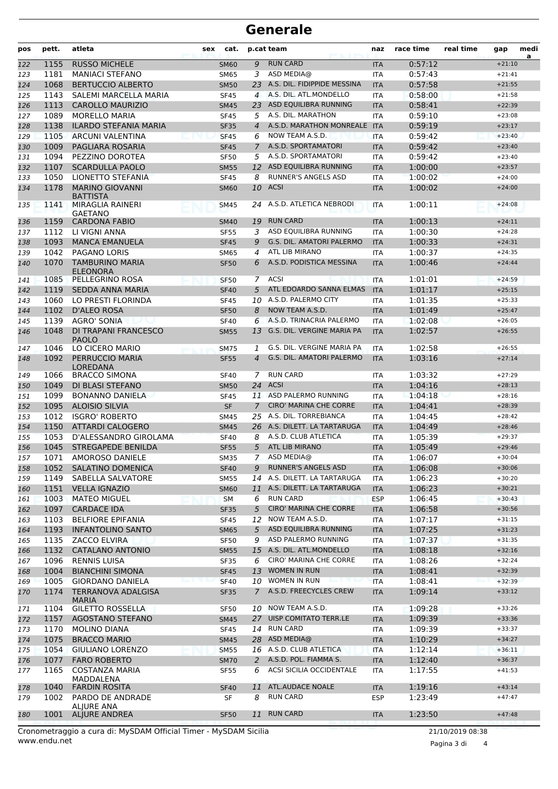## **Generale**

| pos | pett. | atleta                                    | sex | cat.        |                | p.cat team                       | naz        | race time | real time | gap      | medi<br>a |
|-----|-------|-------------------------------------------|-----|-------------|----------------|----------------------------------|------------|-----------|-----------|----------|-----------|
| 122 | 1155  | <b>RUSSO MICHELE</b>                      |     | <b>SM60</b> | 9              | <b>RUN CARD</b>                  | <b>ITA</b> | 0:57:12   |           | $+21:10$ |           |
| 123 | 1181  | <b>MANIACI STEFANO</b>                    |     | <b>SM65</b> | 3              | ASD MEDIA@                       | <b>ITA</b> | 0:57:43   |           | $+21:41$ |           |
| 124 | 1068  | <b>BERTUCCIO ALBERTO</b>                  |     | <b>SM50</b> | 23             | A.S. DIL. FIDIPPIDE MESSINA      | <b>ITA</b> | 0:57:58   |           | $+21:55$ |           |
| 125 | 1143  | SALEMI MARCELLA MARIA                     |     | <b>SF45</b> | 4              | A.S. DIL. ATL.MONDELLO           | <b>ITA</b> | 0:58:00   |           | $+21:58$ |           |
| 126 | 1113  | <b>CAROLLO MAURIZIO</b>                   |     | <b>SM45</b> | 23             | ASD EQUILIBRA RUNNING            | <b>ITA</b> | 0:58:41   |           | $+22:39$ |           |
| 127 | 1089  | <b>MORELLO MARIA</b>                      |     | <b>SF45</b> | 5              | A.S. DIL. MARATHON               | <b>ITA</b> | 0:59:10   |           | $+23:08$ |           |
| 128 | 1138  | <b>ILARDO STEFANIA MARIA</b>              |     | <b>SF35</b> | $\overline{A}$ | A.S.D. MARATHON MONREALE         | <b>ITA</b> | 0:59:19   |           | $+23:17$ |           |
| 129 | 1105  | <b>ARCUNI VALENTINA</b>                   |     | <b>SF45</b> | 6              | NOW TEAM A.S.D.                  | <b>ITA</b> | 0:59:42   |           | $+23:40$ |           |
| 130 | 1009  | PAGLIARA ROSARIA                          |     | <b>SF45</b> | $\overline{7}$ | A.S.D. SPORTAMATORI              | <b>ITA</b> | 0:59:42   |           | $+23:40$ |           |
| 131 | 1094  | PEZZINO DOROTEA                           |     | <b>SF50</b> | 5              | A.S.D. SPORTAMATORI              | ITA        | 0:59:42   |           | $+23:40$ |           |
| 132 | 1107  | <b>SCARDULLA PAOLO</b>                    |     | <b>SM55</b> | 12             | ASD EQUILIBRA RUNNING            | <b>ITA</b> | 1:00:00   |           | $+23:57$ |           |
| 133 | 1050  | LIONETTO STEFANIA                         |     | <b>SF45</b> | 8              | RUNNER'S ANGELS ASD              | <b>ITA</b> | 1:00:02   |           | $+24:00$ |           |
| 134 | 1178  | <b>MARINO GIOVANNI</b><br><b>BATTISTA</b> |     | <b>SM60</b> | 10             | <b>ACSI</b>                      | <b>ITA</b> | 1:00:02   |           | $+24:00$ |           |
| 135 | 1141  | MIRAGLIA RAINERI<br><b>GAETANO</b>        |     | <b>SM45</b> | 24             | A.S.D. ATLETICA NEBRODI          | ITA        | 1:00:11   |           | $+24:08$ |           |
| 136 | 1159  | <b>CARDONA FABIO</b>                      |     | <b>SM40</b> | 19             | <b>RUN CARD</b>                  | <b>ITA</b> | 1:00:13   |           | $+24:11$ |           |
| 137 | 1112  | LI VIGNI ANNA                             |     | <b>SF55</b> | 3              | ASD EQUILIBRA RUNNING            | <b>ITA</b> | 1:00:30   |           | $+24:28$ |           |
| 138 | 1093  | <b>MANCA EMANUELA</b>                     |     | <b>SF45</b> | 9              | <b>G.S. DIL. AMATORI PALERMO</b> | <b>ITA</b> | 1:00:33   |           | $+24:31$ |           |
| 139 | 1042  | <b>PAGANO LORIS</b>                       |     | SM65        | 4              | ATL LIB MIRANO                   | <b>ITA</b> | 1:00:37   |           | $+24:35$ |           |
| 140 | 1070  | <b>TAMBURINO MARIA</b><br><b>ELEONORA</b> |     | <b>SF50</b> | 6              | A.S.D. PODISTICA MESSINA         | <b>ITA</b> | 1:00:46   |           | $+24:44$ |           |
| 141 | 1085  | PELLEGRINO ROSA                           |     | <b>SF50</b> | 7              | <b>ACSI</b>                      | <b>ITA</b> | 1:01:01   |           | $+24:59$ |           |
| 142 | 1119  | SEDDA ANNA MARIA                          |     | <b>SF40</b> | 5              | ATL EDOARDO SANNA ELMAS          | <b>ITA</b> | 1:01:17   |           | $+25:15$ |           |
| 143 | 1060  | LO PRESTI FLORINDA                        |     | <b>SF45</b> | 10             | A.S.D. PALERMO CITY              | ITA        | 1:01:35   |           | $+25:33$ |           |
| 144 | 1102  | <b>D'ALEO ROSA</b>                        |     | <b>SF50</b> | 8              | NOW TEAM A.S.D.                  | <b>ITA</b> | 1:01:49   |           | $+25:47$ |           |
| 145 | 1139  | AGRO' SONIA                               |     | <b>SF40</b> | 6              | A.S.D. TRINACRIA PALERMO         | <b>ITA</b> | 1:02:08   |           | $+26:05$ |           |
| 146 | 1048  | DI TRAPANI FRANCESCO<br><b>PAOLO</b>      |     | <b>SM55</b> | 13             | G.S. DIL. VERGINE MARIA PA       | <b>ITA</b> | 1:02:57   |           | $+26:55$ |           |
| 147 | 1046  | LO CICERO MARIO                           |     | <b>SM75</b> | 1              | G.S. DIL. VERGINE MARIA PA       | <b>ITA</b> | 1:02:58   |           | $+26:55$ |           |
| 148 | 1092  | PERRUCCIO MARIA                           |     | <b>SF55</b> | $\overline{4}$ | <b>G.S. DIL. AMATORI PALERMO</b> | <b>ITA</b> | 1:03:16   |           | $+27:14$ |           |
|     |       | LOREDANA                                  |     |             |                |                                  |            |           |           |          |           |
| 149 | 1066  | <b>BRACCO SIMONA</b>                      |     | <b>SF40</b> | 7              | <b>RUN CARD</b>                  | <b>ITA</b> | 1:03:32   |           | $+27:29$ |           |
| 150 | 1049  | DI BLASI STEFANO                          |     | <b>SM50</b> | 24             | ACSI                             | <b>ITA</b> | 1:04:16   |           | $+28:13$ |           |
| 151 | 1099  | <b>BONANNO DANIELA</b>                    |     | <b>SF45</b> |                | 11 ASD PALERMO RUNNING           | ITA        | 1:04:18   |           | $+28:16$ |           |
| 152 | 1095  | <b>ALOISIO SILVIA</b>                     |     | <b>SF</b>   | $\overline{7}$ | <b>CIRO' MARINA CHE CORRE</b>    | <b>ITA</b> | 1:04:41   |           | $+28:39$ |           |
| 153 | 1012  | <b>ISGRO' ROBERTO</b>                     |     | <b>SM45</b> | 25             | A.S. DIL. TORREBIANCA            | <b>ITA</b> | 1:04:45   |           | $+28:42$ |           |
| 154 | 1150  | ATTARDI CALOGERO                          |     | <b>SM45</b> |                | 26 A.S. DILETT. LA TARTARUGA     | <b>ITA</b> | 1:04:49   |           | $+28:46$ |           |
| 155 | 1053  | D'ALESSANDRO GIROLAMA                     |     | <b>SF40</b> | 8              | A.S.D. CLUB ATLETICA             | <b>ITA</b> | 1:05:39   |           | $+29:37$ |           |
| 156 | 1045  | <b>STREGAPEDE BENILDA</b>                 |     | <b>SF55</b> | 5              | ATL LIB MIRANO                   | <b>ITA</b> | 1:05:49   |           | $+29:46$ |           |
| 157 | 1071  | AMOROSO DANIELE                           |     | <b>SM35</b> | $\overline{7}$ | ASD MEDIA@                       | <b>ITA</b> | 1:06:07   |           | $+30:04$ |           |
| 158 | 1052  | SALATINO DOMENICA                         |     | <b>SF40</b> | 9              | <b>RUNNER'S ANGELS ASD</b>       | <b>ITA</b> | 1:06:08   |           | $+30:06$ |           |
| 159 | 1149  | SABELLA SALVATORE                         |     | <b>SM55</b> | 14             | A.S. DILETT. LA TARTARUGA        | ITA        | 1:06:23   |           | $+30:20$ |           |
| 160 | 1151  | <b>VELLA IGNAZIO</b>                      |     | <b>SM60</b> | 11             | A.S. DILETT. LA TARTARUGA        | <b>ITA</b> | 1:06:23   |           | $+30:21$ |           |
| 161 | 1003  | <b>MATEO MIGUEL</b>                       |     | <b>SM</b>   | 6              | <b>RUN CARD</b>                  | <b>ESP</b> | 1:06:45   |           | $+30:43$ |           |
| 162 | 1097  | <b>CARDACE IDA</b>                        |     | <b>SF35</b> | 5              | <b>CIRO' MARINA CHE CORRE</b>    | <b>ITA</b> | 1:06:58   |           | $+30:56$ |           |
| 163 | 1103  | <b>BELFIORE EPIFANIA</b>                  |     | <b>SF45</b> | 12             | NOW TEAM A.S.D.                  | <b>ITA</b> | 1:07:17   |           | $+31:15$ |           |
| 164 | 1193  | <b>INFANTOLINO SANTO</b>                  |     | <b>SM65</b> | 5 <sup>5</sup> | ASD EQUILIBRA RUNNING            | <b>ITA</b> | 1:07:25   |           | $+31:23$ |           |
| 165 | 1135  | <b>ZACCO ELVIRA</b>                       |     | <b>SF50</b> | 9              | ASD PALERMO RUNNING              | ITA        | 1:07:37   |           | $+31:35$ |           |
| 166 | 1132  | <b>CATALANO ANTONIO</b>                   |     | <b>SM55</b> |                | 15 A.S. DIL. ATL.MONDELLO        | <b>ITA</b> | 1:08:18   |           | $+32:16$ |           |
| 167 | 1096  | <b>RENNIS LUISA</b>                       |     | <b>SF35</b> | 6              | CIRO' MARINA CHE CORRE           | ITA        | 1:08:26   |           | $+32:24$ |           |
| 168 | 1004  | <b>BIANCHINI SIMONA</b>                   |     | <b>SF45</b> | 13             | <b>WOMEN IN RUN</b>              | <b>ITA</b> | 1:08:41   |           | $+32:39$ |           |
| 169 | 1005  | <b>GIORDANO DANIELA</b>                   |     | <b>SF40</b> |                | 10 WOMEN IN RUN                  | <b>ITA</b> | 1:08:41   |           | $+32:39$ |           |
| 170 | 1174  | TERRANOVA ADALGISA<br><b>MARIA</b>        |     | <b>SF35</b> | $7^{\circ}$    | A.S.D. FREECYCLES CREW           | <b>ITA</b> | 1:09:14   |           | $+33:12$ |           |
| 171 | 1104  | <b>GILETTO ROSSELLA</b>                   |     | <b>SF50</b> |                | 10 NOW TEAM A.S.D.               | ITA        | 1:09:28   |           | $+33:26$ |           |
| 172 | 1157  | <b>AGOSTANO STEFANO</b>                   |     | <b>SM45</b> |                | 27 UISP COMITATO TERR.LE         | <b>ITA</b> | 1:09:39   |           | $+33:36$ |           |
| 173 | 1170  | MOLINO DIANA                              |     | <b>SF45</b> | 14             | <b>RUN CARD</b>                  | <b>ITA</b> | 1:09:39   |           | $+33:37$ |           |
| 174 | 1075  | <b>BRACCO MARIO</b>                       |     | <b>SM45</b> |                | 28 ASD MEDIA@                    | <b>ITA</b> | 1:10:29   |           | $+34:27$ |           |
| 175 | 1054  | <b>GIULIANO LORENZO</b>                   |     | <b>SM55</b> |                | 16 A.S.D. CLUB ATLETICA          | <b>ITA</b> | 1:12:14   |           | $+36:11$ |           |
| 176 | 1077  | <b>FARO ROBERTO</b>                       |     | <b>SM70</b> | 2              | A.S.D. POL. FIAMMA S.            | <b>ITA</b> | 1:12:40   |           | $+36:37$ |           |
| 177 | 1165  | <b>COSTANZA MARIA</b><br>MADDALENA        |     | <b>SF55</b> | 6              | ACSI SICILIA OCCIDENTALE         | ITA        | 1:17:55   |           | $+41:53$ |           |
| 178 | 1040  | <b>FARDIN ROSITA</b>                      |     | <b>SF40</b> | 11             | ATL.AUDACE NOALE                 | <b>ITA</b> | 1:19:16   |           | $+43:14$ |           |
| 179 | 1002  | PARDO DE ANDRADE                          |     | SF          | 8              | <b>RUN CARD</b>                  | <b>ESP</b> | 1:23:49   |           | $+47:47$ |           |
|     |       | ALJURE ANA                                |     |             |                | <b>RUN CARD</b>                  |            |           |           | $+47:48$ |           |
| 180 | 1001  | <b>ALJURE ANDREA</b>                      |     | <b>SF50</b> | 11             |                                  | <b>ITA</b> | 1:23:50   |           |          |           |

www.endu.net Cronometraggio a cura di: MySDAM Official Timer - MySDAM Sicilia 21/10/2019 08:38

Pagina 3 di 4